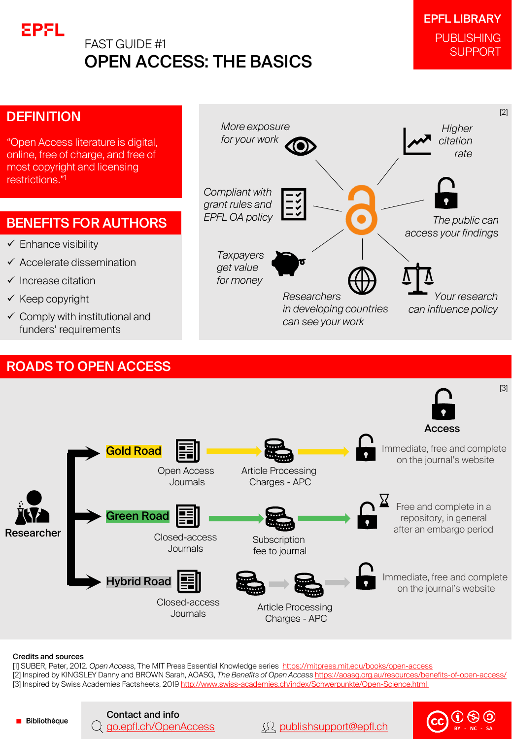



#### Credits and sources

[1] SUBER, Peter, 2012. *Open Access*, The MIT Press Essential Knowledge series <https://mitpress.mit.edu/books/open-access> [2] Inspired by KINGSLEY Danny and BROWN Sarah, AOASG, *The Benefits of Open Access* <https://aoasg.org.au/resources/benefits-of-open-access/> [3] Inspired by Swiss Academies Factsheets, 2019 http://www.swiss-academies.ch/index/Schwerpunkte/Open-Science.html

**Bibliothèque** 

Contact and info **CO D S**<br>Q <u>[go.epfl.ch/OpenAccess](https://go.epfl.ch/OpenAccess)</u> [publishsupport@epfl.ch](mailto:publishsupport@epfl.ch) **CC SA BY** - **NC CC BY** - **NC CC BY** - **NC CC BY** - **NC**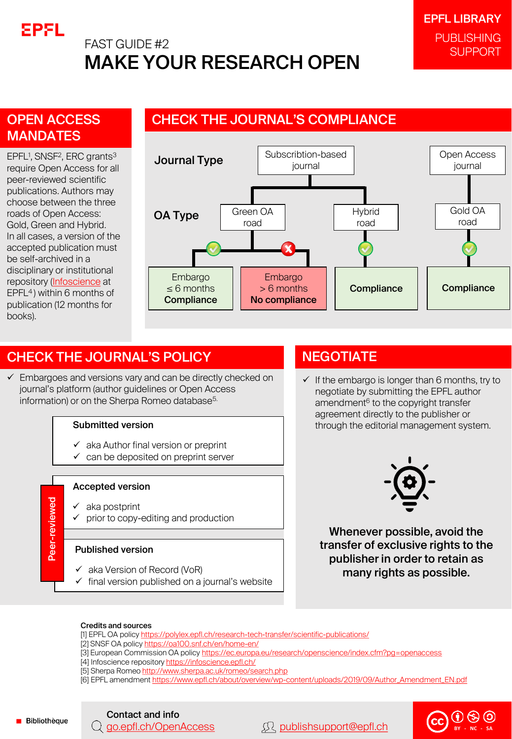

# FAST GUIDE #2 MAKE YOUR RESEARCH OPEN

### OPEN ACCESS **MANDATES**

EPFL<sup>1</sup>, SNSF<sup>2</sup>, ERC grants<sup>3</sup> require Open Access for all peer-reviewed scientific publications. Authors may choose between the three roads of Open Access: Gold, Green and Hybrid. In all cases, a version of the accepted publication must be self-archived in a disciplinary or institutional repository [\(Infoscience](infoscience.epfl.ch) at EPFL<sup>4</sup>) within 6 months of publication (12 months for books).

### CHECK THE JOURNAL'S COMPLIANCE



### CHECK THE JOURNAL'S POLICY

 $\checkmark$  Embargoes and versions vary and can be directly checked on journal's platform (author guidelines or Open Access information) or on the Sherpa Romeo database<sup>5.</sup>

#### Submitted version

- $\checkmark$  aka Author final version or preprint
- $\checkmark$  can be deposited on preprint server

#### Accepted version

- ✓ aka postprint
	- prior to copy-editing and production

#### Published version

- $\checkmark$  aka Version of Record (VoR)
- $\checkmark$  final version published on a journal's website

### **NEGOTIATE**

 $\checkmark$  If the embargo is longer than 6 months, try to negotiate by submitting the EPFL author amendment<sup>6</sup> to the copyright transfer agreement directly to the publisher or through the editorial management system.



Whenever possible, avoid the transfer of exclusive rights to the publisher in order to retain as many rights as possible.

#### Credits and sources

- [1] EPFL OA policy <https://polylex.epfl.ch/research-tech-transfer/scientific-publications/>
- [2] SNSF OA policy <https://oa100.snf.ch/en/home-en/>
- [3] European Commission OA policy <https://ec.europa.eu/research/openscience/index.cfm?pg=openaccess>
- [4] Infoscience repository<https://infoscience.epfl.ch/>
- [5] Sherpa Romeo<http://www.sherpa.ac.uk/romeo/search.php>
- [6] EPFL amendment [https://www.epfl.ch/about/overview/wp-content/uploads/2019/09/Author\\_Amendment\\_EN.pdf](https://www.epfl.ch/about/overview/wp-content/uploads/2019/09/Author_Amendment_EN.pdf)



Contact and info **a**  $\Omega$  **- CC - CC - BY - BY - CC - BY - BY - BY - BY - BY - BY - BY - BY - BY - BY - BY - BY - BY - BY - BY**

eer-reviewed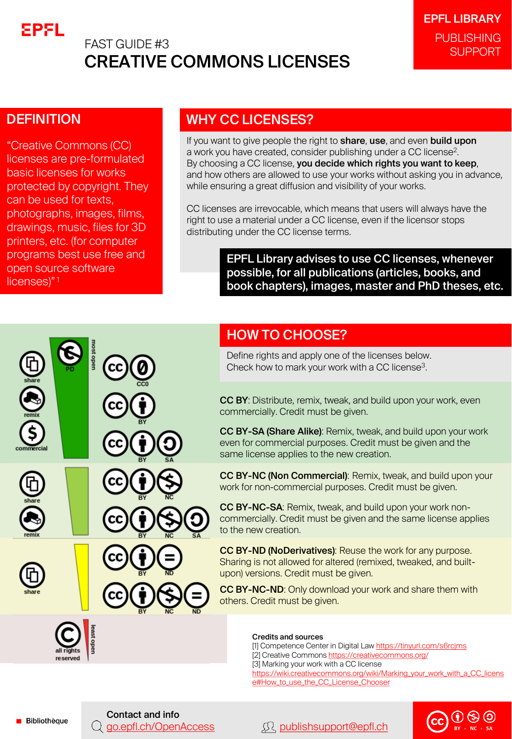

# FAST GUIDE #3 CREATIVE COMMONS LICENSES

### **DEFINITION**

"Creative Commons (CC) licenses are pre-formulated basic licenses for works protected by copyright. They can be used for texts, photographs, images, films, drawings, music, files for 3D printers, etc. (for computer programs best use free and open source software licenses)"<sup>1</sup>

### WHY CC LICENSES?

If you want to give people the right to share, use, and even build upon a work you have created, consider publishing under a CC license $^2$ . By choosing a CC license, you decide which rights you want to keep, and how others are allowed to use your works without asking you in advance, while ensuring a great diffusion and visibility of your works.

CC licenses are irrevocable, which means that users will always have the right to use a material under a CC license, even if the licensor stops distributing under the CC license terms.

> EPFL Library advises to use CC licenses, whenever possible, for all publications (articles, books, and book chapters), images, master and PhD theses, etc.

### HOW TO CHOOSE?

Define rights and apply one of the licenses below. Check how to mark your work with a CC license<sup>3</sup>.

CC BY: Distribute, remix, tweak, and build upon your work, even commercially. Credit must be given.

CC BY-SA (Share Alike): Remix, tweak, and build upon your work even for commercial purposes. Credit must be given and the same license applies to the new creation.

CC BY-NC (Non Commercial): Remix, tweak, and build upon your work for non-commercial purposes. Credit must be given.

CC BY-NC-SA: Remix, tweak, and build upon your work noncommercially. Credit must be given and the same license applies to the new creation.

CC BY-ND (NoDerivatives): Reuse the work for any purpose. Sharing is not allowed for altered (remixed, tweaked, and builtupon) versions. Credit must be given.

CC BY-NC-ND: Only download your work and share them with others. Credit must be given.

#### Credits and sources

[1] Competence Center in Digital Law <https://tinyurl.com/s6rcjms> [2] Creative Commons <https://creativecommons.org/> [3] Marking your work with a CC license [https://wiki.creativecommons.org/wiki/Marking\\_your\\_work\\_with\\_a\\_CC\\_licens](https://wiki.creativecommons.org/wiki/Marking_your_work_with_a_CC_license#How_to_use_the_CC_License_Chooser) e#How\_to\_use\_the\_CC\_License\_Chooser



**Bibliothèque** 

Contact and info

**Q** [go.epfl.ch/OpenAccess](https://go.epfl.ch/OpenAccess) **A** [publishsupport@epfl.ch](mailto:publishsupport@epfl.ch)

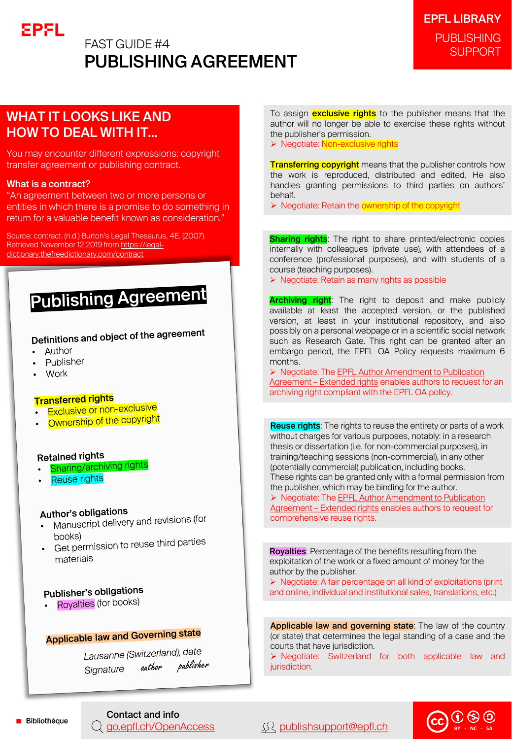# EPFL

### FAST GUIDE #4 PUBLISHING AGREEMENT

### WHAT IT LOOKS LIKE AND HOW TO DEAL WITH IT…

You may encounter different expressions: copyright transfer agreement or publishing contract.

#### What is a contract?

"An agreement between two or more persons or entities in which there is a promise to do something in return for a valuable benefit known as consideration."

Source: contract. (n.d.) Burton's Legal Thesaurus, 4E. (2007). [Retrieved November 12 2019 from https://legal](https://legal-dictionary.thefreedictionary.com/contract)dictionary.thefreedictionary.com/contract

# **Publishing Agreement**

Definitions and object of the agreement

- Author
- Publisher
- Work

#### **Transferred rights**

- **Final Sterfed Highle**<br>• Exclusive or non-exclusive
- **Exclusive of their strapyright**

#### **Retained rights**

- **Sharing/archiving rights**
- Reuse rights

#### Author's obligations

- thor's opilyations<br>Manuscript delivery and revisions (for books)
- books)<br>Get permission to reuse third parties materials

### Publisher's obligations

• Royalties (for books)

# **Applicable law and Governing state**

Lausanne (Switzerland), date author publisher Signature

To assign **exclusive rights** to the publisher means that the author will no longer be able to exercise these rights without the publisher's permission.

➢ Negotiate: Non-exclusive rights

**Transferring copyright** means that the publisher controls how the work is reproduced, distributed and edited. He also handles granting permissions to third parties on authors' behalf.

➢ Negotiate: Retain the ownership of the copyright

**Sharing rights:** The right to share printed/electronic copies internally with colleagues (private use), with attendees of a conference (professional purposes), and with students of a course (teaching purposes).

➢ Negotiate: Retain as many rights as possible

**Archiving right**: The right to deposit and make publicly available at least the accepted version, or the published version, at least in your institutional repository, and also possibly on a personal webpage or in a scientific social network such as Research Gate. This right can be granted after an embargo period, the EPFL OA Policy requests maximum 6 months.

➢ [Negotiate: The EPFL Author Amendment to Publication](https://www.epfl.ch/about/overview/wp-content/uploads/2019/09/Author_Amendment__Extended_Rights_EN.pdf) Agreement – Extended rights enables authors to request for an archiving right compliant with the EPFL OA policy.

**Reuse rights:** The rights to reuse the entirety or parts of a work without charges for various purposes, notably: in a research thesis or dissertation (i.e. for non-commercial purposes), in training/teaching sessions (non-commercial), in any other (potentially commercial) publication, including books. These rights can be granted only with a formal permission from the publisher, which may be binding for the author.

➢ [Negotiate: The EPFL Author Amendment to Publication](https://www.epfl.ch/about/overview/wp-content/uploads/2019/09/Author_Amendment__Extended_Rights_EN.pdf)  Agreement - Extended rights enables authors to request for comprehensive reuse rights.

Royalties: Percentage of the benefits resulting from the exploitation of the work or a fixed amount of money for the author by the publisher.

➢ Negotiate: A fair percentage on all kind of exploitations (print and online, individual and institutional sales, translations, etc.)

Applicable law and governing state: The law of the country (or state) that determines the legal standing of a case and the courts that have jurisdiction.

➢ Negotiate: Switzerland for both applicable law and jurisdiction.

### Contact and info

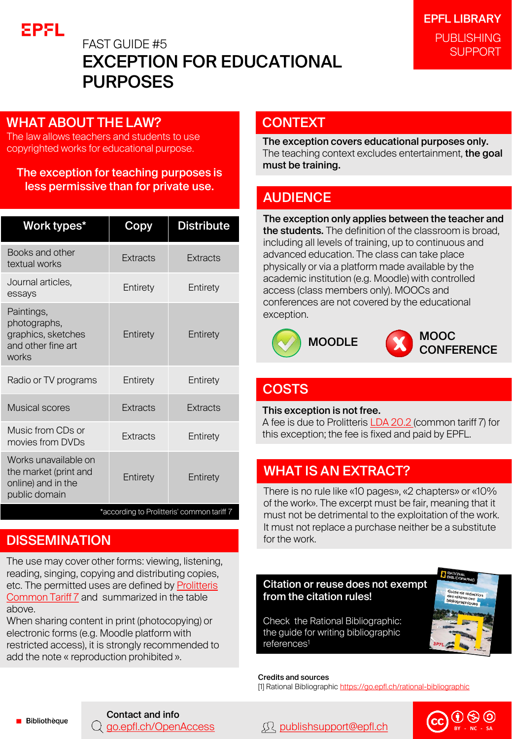

# FAST GUIDE #5 EXCEPTION FOR EDUCATIONAL PURPOSES

### WHAT ABOUT THE LAW?

The law allows teachers and students to use copyrighted works for educational purpose.

### The exception for teaching purposes is less permissive than for private use.

| Work types*                                                                          | Copy            | <b>Distribute</b> |
|--------------------------------------------------------------------------------------|-----------------|-------------------|
| Books and other<br>textual works                                                     | Extracts        | Extracts          |
| Journal articles,<br>essays                                                          | Entirety        | Entirety          |
| Paintings,<br>photographs,<br>graphics, sketches<br>and other fine art<br>works      | Entirety        | Entirety          |
| Radio or TV programs                                                                 | Entirety        | Entirety          |
| <b>Musical scores</b>                                                                | <b>Extracts</b> | <b>Extracts</b>   |
| Music from CDs or<br>movies from DVDs                                                | Extracts        | Entirety          |
| Works unavailable on<br>the market (print and<br>online) and in the<br>public domain | Entirety        | Entirety          |
| *according to Prolitteris' common tariff 7                                           |                 |                   |

### **DISSEMINATION**

The use may cover other forms: viewing, listening, reading, singing, copying and distributing copies, [etc. The permitted uses are defined by Prolitteris](http://prolitteris.ch/fileadmin/user_upload/ProLitteris/Dokumente/Tarife_ab_2017/GT_7_F_2017_2021.pdf) Common Tariff 7 and summarized in the table above.

When sharing content in print (photocopying) or electronic forms (e.g. Moodle platform with restricted access), it is strongly recommended to add the note « reproduction prohibited ».

### **CONTEXT**

The exception covers educational purposes only. The teaching context excludes entertainment, the goal must be training.

### **AUDIENCE**

The exception only applies between the teacher and the students. The definition of the classroom is broad, including all levels of training, up to continuous and advanced education. The class can take place physically or via a platform made available by the academic institution (e.g. Moodle) with controlled access (class members only). MOOCs and conferences are not covered by the educational exception.





### **COSTS**

This exception is not free.

A fee is due to Prolitteris [LDA 20.2 \(](https://www.admin.ch/opc/fr/classified-compilation/19920251/index.html#a20)common tariff 7) for this exception; the fee is fixed and paid by EPFL.

### WHAT IS AN EXTRACT?

There is no rule like «10 pages», «2 chapters» or «10% of the work». The excerpt must be fair, meaning that it must not be detrimental to the exploitation of the work. It must not replace a purchase neither be a substitute for the work.

#### Citation or reuse does not exempt from the citation rules!

Check the Rational Bibliographic: the guide for writing bibliographic references<sup>1</sup>

Credits and sources [1] Rational Bibliographic <https://go.epfl.ch/rational-bibliographic>



**Bibliothèque** 

# Contact and info

### [go.epfl.ch/OpenAccess](https://go.epfl.ch/OpenAccess) [publishsupport@epfl.ch](mailto:publishsupport@epfl.ch) **BY - NC - SA**